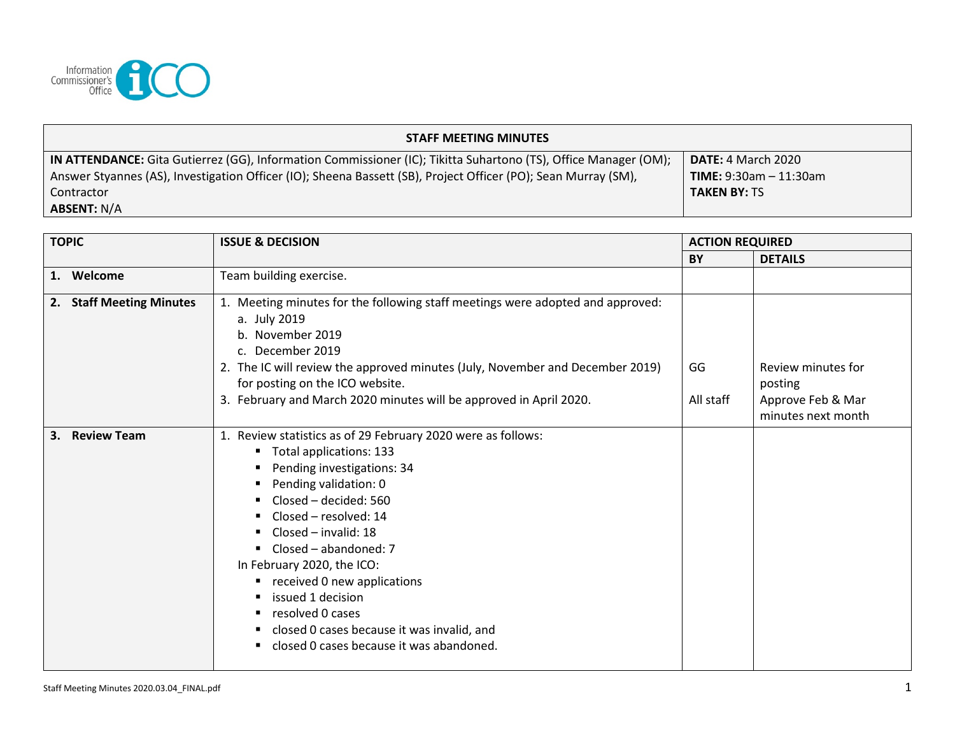

| <b>STAFF MEETING MINUTES</b>                                                                                    |                               |  |  |  |
|-----------------------------------------------------------------------------------------------------------------|-------------------------------|--|--|--|
| IN ATTENDANCE: Gita Gutierrez (GG), Information Commissioner (IC); Tikitta Suhartono (TS), Office Manager (OM); | <b>DATE: 4 March 2020</b>     |  |  |  |
| Answer Styannes (AS), Investigation Officer (IO); Sheena Bassett (SB), Project Officer (PO); Sean Murray (SM),  | <b>TIME:</b> 9:30am - 11:30am |  |  |  |
| l Contractor                                                                                                    | <b>TAKEN BY: TS</b>           |  |  |  |
| <b>ABSENT: N/A</b>                                                                                              |                               |  |  |  |

| <b>TOPIC</b>                       | <b>ISSUE &amp; DECISION</b>                                                                                                                                                                                                                                                                                                                                                                                                                                                | <b>ACTION REQUIRED</b> |                                                                          |
|------------------------------------|----------------------------------------------------------------------------------------------------------------------------------------------------------------------------------------------------------------------------------------------------------------------------------------------------------------------------------------------------------------------------------------------------------------------------------------------------------------------------|------------------------|--------------------------------------------------------------------------|
|                                    |                                                                                                                                                                                                                                                                                                                                                                                                                                                                            | BY                     | <b>DETAILS</b>                                                           |
| Welcome<br>1.                      | Team building exercise.                                                                                                                                                                                                                                                                                                                                                                                                                                                    |                        |                                                                          |
| <b>Staff Meeting Minutes</b><br>2. | 1. Meeting minutes for the following staff meetings were adopted and approved:<br>a. July 2019<br>b. November 2019<br>c. December 2019<br>2. The IC will review the approved minutes (July, November and December 2019)<br>for posting on the ICO website.<br>3. February and March 2020 minutes will be approved in April 2020.                                                                                                                                           | GG<br>All staff        | Review minutes for<br>posting<br>Approve Feb & Mar<br>minutes next month |
| <b>Review Team</b><br>3.           | 1. Review statistics as of 29 February 2020 were as follows:<br>Total applications: 133<br>٠<br>Pending investigations: 34<br>Pending validation: 0<br>Closed – decided: 560<br>Closed – resolved: 14<br>Closed - invalid: 18<br>Closed - abandoned: 7<br>٠<br>In February 2020, the ICO:<br>received 0 new applications<br>٠<br>issued 1 decision<br>resolved 0 cases<br>٠<br>closed 0 cases because it was invalid, and<br>closed 0 cases because it was abandoned.<br>٠ |                        |                                                                          |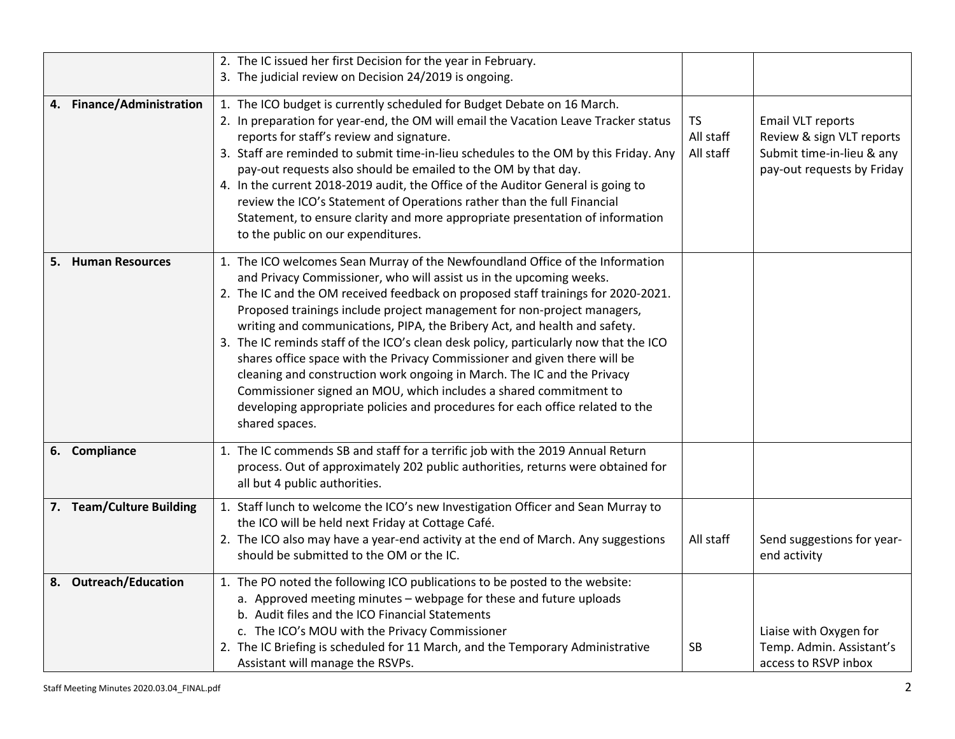|                           | 2. The IC issued her first Decision for the year in February.<br>3. The judicial review on Decision 24/2019 is ongoing.                                                                                                                                                                                                                                                                                                                                                                                                                                                                                                                                                                                                                                                                                                    |                                     |                                                                                                                  |
|---------------------------|----------------------------------------------------------------------------------------------------------------------------------------------------------------------------------------------------------------------------------------------------------------------------------------------------------------------------------------------------------------------------------------------------------------------------------------------------------------------------------------------------------------------------------------------------------------------------------------------------------------------------------------------------------------------------------------------------------------------------------------------------------------------------------------------------------------------------|-------------------------------------|------------------------------------------------------------------------------------------------------------------|
| 4. Finance/Administration | 1. The ICO budget is currently scheduled for Budget Debate on 16 March.<br>2. In preparation for year-end, the OM will email the Vacation Leave Tracker status<br>reports for staff's review and signature.<br>3. Staff are reminded to submit time-in-lieu schedules to the OM by this Friday. Any<br>pay-out requests also should be emailed to the OM by that day.<br>4. In the current 2018-2019 audit, the Office of the Auditor General is going to<br>review the ICO's Statement of Operations rather than the full Financial<br>Statement, to ensure clarity and more appropriate presentation of information<br>to the public on our expenditures.                                                                                                                                                                | <b>TS</b><br>All staff<br>All staff | <b>Email VLT reports</b><br>Review & sign VLT reports<br>Submit time-in-lieu & any<br>pay-out requests by Friday |
| 5. Human Resources        | 1. The ICO welcomes Sean Murray of the Newfoundland Office of the Information<br>and Privacy Commissioner, who will assist us in the upcoming weeks.<br>2. The IC and the OM received feedback on proposed staff trainings for 2020-2021.<br>Proposed trainings include project management for non-project managers,<br>writing and communications, PIPA, the Bribery Act, and health and safety.<br>3. The IC reminds staff of the ICO's clean desk policy, particularly now that the ICO<br>shares office space with the Privacy Commissioner and given there will be<br>cleaning and construction work ongoing in March. The IC and the Privacy<br>Commissioner signed an MOU, which includes a shared commitment to<br>developing appropriate policies and procedures for each office related to the<br>shared spaces. |                                     |                                                                                                                  |
| 6. Compliance             | 1. The IC commends SB and staff for a terrific job with the 2019 Annual Return<br>process. Out of approximately 202 public authorities, returns were obtained for<br>all but 4 public authorities.                                                                                                                                                                                                                                                                                                                                                                                                                                                                                                                                                                                                                         |                                     |                                                                                                                  |
| 7. Team/Culture Building  | 1. Staff lunch to welcome the ICO's new Investigation Officer and Sean Murray to<br>the ICO will be held next Friday at Cottage Café.<br>2. The ICO also may have a year-end activity at the end of March. Any suggestions<br>should be submitted to the OM or the IC.                                                                                                                                                                                                                                                                                                                                                                                                                                                                                                                                                     | All staff                           | Send suggestions for year-<br>end activity                                                                       |
| 8. Outreach/Education     | 1. The PO noted the following ICO publications to be posted to the website:<br>a. Approved meeting minutes - webpage for these and future uploads<br>b. Audit files and the ICO Financial Statements<br>c. The ICO's MOU with the Privacy Commissioner<br>2. The IC Briefing is scheduled for 11 March, and the Temporary Administrative<br>Assistant will manage the RSVPs.                                                                                                                                                                                                                                                                                                                                                                                                                                               | <b>SB</b>                           | Liaise with Oxygen for<br>Temp. Admin. Assistant's<br>access to RSVP inbox                                       |